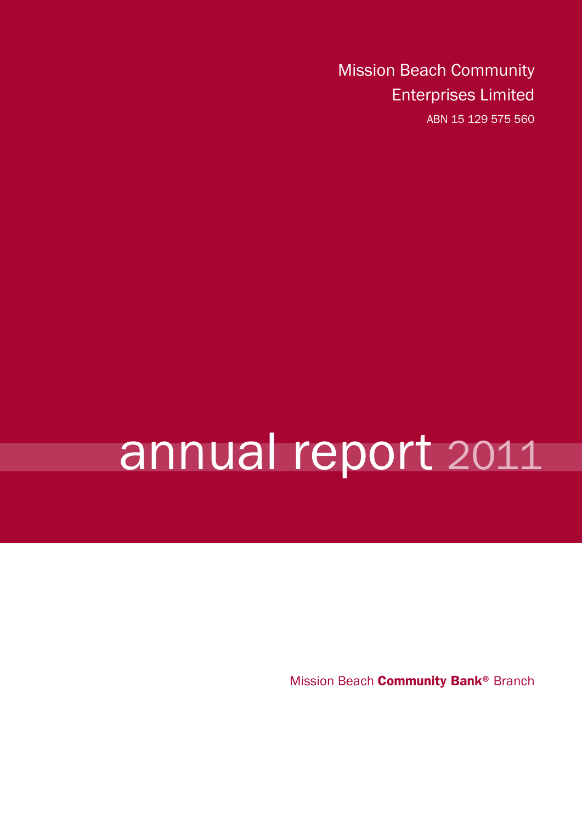Mission Beach Community Enterprises Limited ABN 15 129 575 560

# annual report 2011

Mission Beach **Community Bank®** Branch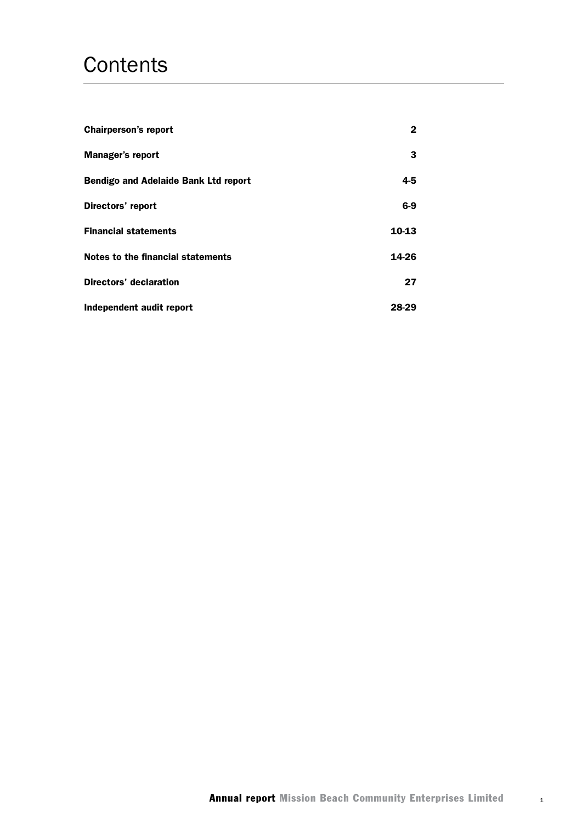## **Contents**

| <b>Chairperson's report</b>                 | 2     |
|---------------------------------------------|-------|
| <b>Manager's report</b>                     | 3     |
| <b>Bendigo and Adelaide Bank Ltd report</b> | 4-5   |
| Directors' report                           | $6-9$ |
| <b>Financial statements</b>                 | 10-13 |
| Notes to the financial statements           | 14-26 |
| <b>Directors' declaration</b>               | 27    |
| Independent audit report                    | 28-29 |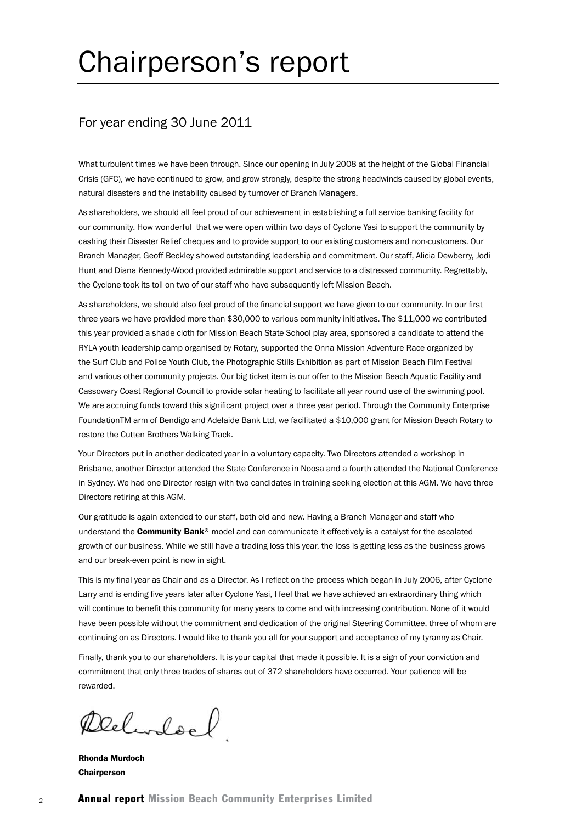# Chairperson's report

## For year ending 30 June 2011

What turbulent times we have been through. Since our opening in July 2008 at the height of the Global Financial Crisis (GFC), we have continued to grow, and grow strongly, despite the strong headwinds caused by global events, natural disasters and the instability caused by turnover of Branch Managers.

As shareholders, we should all feel proud of our achievement in establishing a full service banking facility for our community. How wonderful that we were open within two days of Cyclone Yasi to support the community by cashing their Disaster Relief cheques and to provide support to our existing customers and non-customers. Our Branch Manager, Geoff Beckley showed outstanding leadership and commitment. Our staff, Alicia Dewberry, Jodi Hunt and Diana Kennedy-Wood provided admirable support and service to a distressed community. Regrettably, the Cyclone took its toll on two of our staff who have subsequently left Mission Beach.

As shareholders, we should also feel proud of the financial support we have given to our community. In our first three years we have provided more than \$30,000 to various community initiatives. The \$11,000 we contributed this year provided a shade cloth for Mission Beach State School play area, sponsored a candidate to attend the RYLA youth leadership camp organised by Rotary, supported the Onna Mission Adventure Race organized by the Surf Club and Police Youth Club, the Photographic Stills Exhibition as part of Mission Beach Film Festival and various other community projects. Our big ticket item is our offer to the Mission Beach Aquatic Facility and Cassowary Coast Regional Council to provide solar heating to facilitate all year round use of the swimming pool. We are accruing funds toward this significant project over a three year period. Through the Community Enterprise FoundationTM arm of Bendigo and Adelaide Bank Ltd, we facilitated a \$10,000 grant for Mission Beach Rotary to restore the Cutten Brothers Walking Track.

Your Directors put in another dedicated year in a voluntary capacity. Two Directors attended a workshop in Brisbane, another Director attended the State Conference in Noosa and a fourth attended the National Conference in Sydney. We had one Director resign with two candidates in training seeking election at this AGM. We have three Directors retiring at this AGM.

Our gratitude is again extended to our staff, both old and new. Having a Branch Manager and staff who understand the **Community Bank®** model and can communicate it effectively is a catalyst for the escalated growth of our business. While we still have a trading loss this year, the loss is getting less as the business grows and our break-even point is now in sight.

This is my final year as Chair and as a Director. As I reflect on the process which began in July 2006, after Cyclone Larry and is ending five years later after Cyclone Yasi, I feel that we have achieved an extraordinary thing which will continue to benefit this community for many years to come and with increasing contribution. None of it would have been possible without the commitment and dedication of the original Steering Committee, three of whom are continuing on as Directors. I would like to thank you all for your support and acceptance of my tyranny as Chair.

Finally, thank you to our shareholders. It is your capital that made it possible. It is a sign of your conviction and commitment that only three trades of shares out of 372 shareholders have occurred. Your patience will be rewarded.

Declardocl

Rhonda Murdoch Chairperson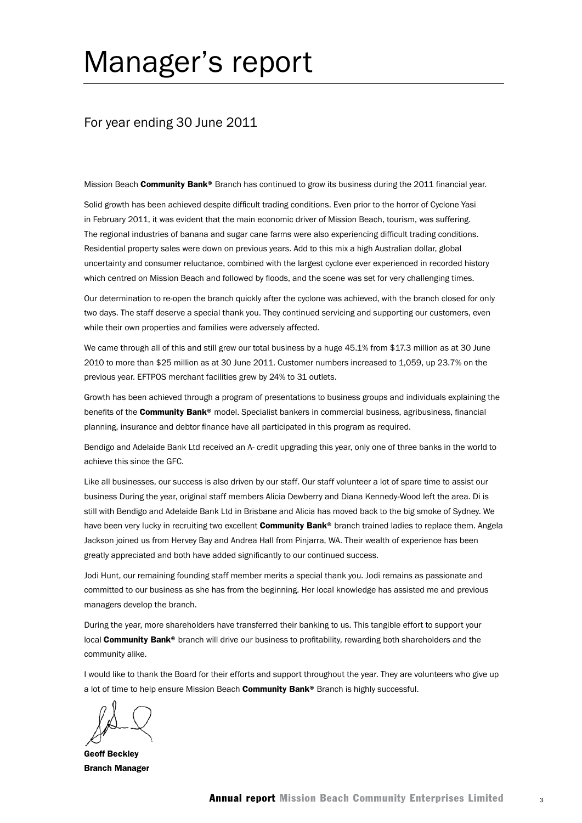## Manager's report

### For year ending 30 June 2011

Mission Beach Community Bank® Branch has continued to grow its business during the 2011 financial year.

Solid growth has been achieved despite difficult trading conditions. Even prior to the horror of Cyclone Yasi in February 2011, it was evident that the main economic driver of Mission Beach, tourism, was suffering. The regional industries of banana and sugar cane farms were also experiencing difficult trading conditions. Residential property sales were down on previous years. Add to this mix a high Australian dollar, global uncertainty and consumer reluctance, combined with the largest cyclone ever experienced in recorded history which centred on Mission Beach and followed by floods, and the scene was set for very challenging times.

Our determination to re-open the branch quickly after the cyclone was achieved, with the branch closed for only two days. The staff deserve a special thank you. They continued servicing and supporting our customers, even while their own properties and families were adversely affected.

We came through all of this and still grew our total business by a huge 45.1% from \$17.3 million as at 30 June 2010 to more than \$25 million as at 30 June 2011. Customer numbers increased to 1,059, up 23.7% on the previous year. EFTPOS merchant facilities grew by 24% to 31 outlets.

Growth has been achieved through a program of presentations to business groups and individuals explaining the benefits of the **Community Bank®** model. Specialist bankers in commercial business, agribusiness, financial planning, insurance and debtor finance have all participated in this program as required.

Bendigo and Adelaide Bank Ltd received an A- credit upgrading this year, only one of three banks in the world to achieve this since the GFC.

Like all businesses, our success is also driven by our staff. Our staff volunteer a lot of spare time to assist our business During the year, original staff members Alicia Dewberry and Diana Kennedy-Wood left the area. Di is still with Bendigo and Adelaide Bank Ltd in Brisbane and Alicia has moved back to the big smoke of Sydney. We have been very lucky in recruiting two excellent Community Bank® branch trained ladies to replace them. Angela Jackson joined us from Hervey Bay and Andrea Hall from Pinjarra, WA. Their wealth of experience has been greatly appreciated and both have added significantly to our continued success.

Jodi Hunt, our remaining founding staff member merits a special thank you. Jodi remains as passionate and committed to our business as she has from the beginning. Her local knowledge has assisted me and previous managers develop the branch.

During the year, more shareholders have transferred their banking to us. This tangible effort to support your local **Community Bank®** branch will drive our business to profitability, rewarding both shareholders and the community alike.

I would like to thank the Board for their efforts and support throughout the year. They are volunteers who give up a lot of time to help ensure Mission Beach Community Bank® Branch is highly successful.

Geoff Beckley Branch Manager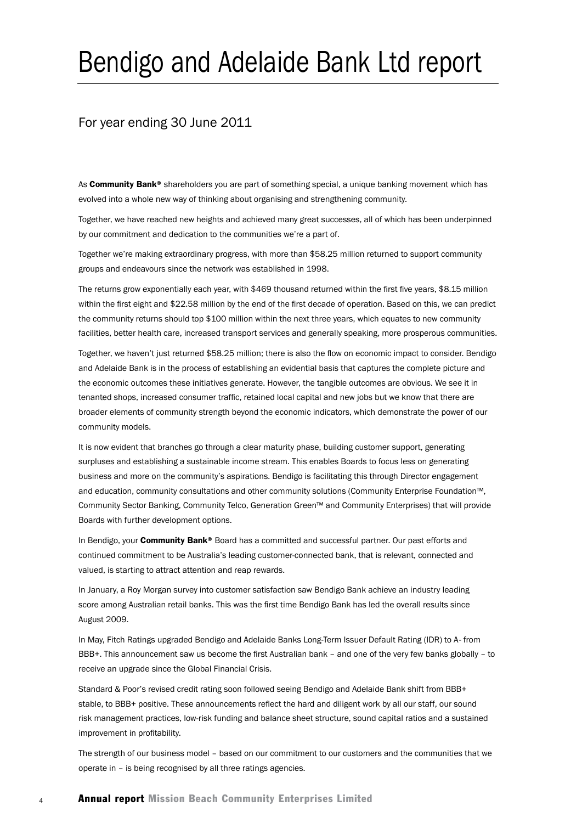# Bendigo and Adelaide Bank Ltd report

### For year ending 30 June 2011

As **Community Bank®** shareholders you are part of something special, a unique banking movement which has evolved into a whole new way of thinking about organising and strengthening community.

Together, we have reached new heights and achieved many great successes, all of which has been underpinned by our commitment and dedication to the communities we're a part of.

Together we're making extraordinary progress, with more than \$58.25 million returned to support community groups and endeavours since the network was established in 1998.

The returns grow exponentially each year, with \$469 thousand returned within the first five years, \$8.15 million within the first eight and \$22.58 million by the end of the first decade of operation. Based on this, we can predict the community returns should top \$100 million within the next three years, which equates to new community facilities, better health care, increased transport services and generally speaking, more prosperous communities.

Together, we haven't just returned \$58.25 million; there is also the flow on economic impact to consider. Bendigo and Adelaide Bank is in the process of establishing an evidential basis that captures the complete picture and the economic outcomes these initiatives generate. However, the tangible outcomes are obvious. We see it in tenanted shops, increased consumer traffic, retained local capital and new jobs but we know that there are broader elements of community strength beyond the economic indicators, which demonstrate the power of our community models.

It is now evident that branches go through a clear maturity phase, building customer support, generating surpluses and establishing a sustainable income stream. This enables Boards to focus less on generating business and more on the community's aspirations. Bendigo is facilitating this through Director engagement and education, community consultations and other community solutions (Community Enterprise Foundation™, Community Sector Banking, Community Telco, Generation Green™ and Community Enterprises) that will provide Boards with further development options.

In Bendigo, your **Community Bank®** Board has a committed and successful partner. Our past efforts and continued commitment to be Australia's leading customer-connected bank, that is relevant, connected and valued, is starting to attract attention and reap rewards.

In January, a Roy Morgan survey into customer satisfaction saw Bendigo Bank achieve an industry leading score among Australian retail banks. This was the first time Bendigo Bank has led the overall results since August 2009.

In May, Fitch Ratings upgraded Bendigo and Adelaide Banks Long-Term Issuer Default Rating (IDR) to A- from BBB+. This announcement saw us become the first Australian bank – and one of the very few banks globally – to receive an upgrade since the Global Financial Crisis.

Standard & Poor's revised credit rating soon followed seeing Bendigo and Adelaide Bank shift from BBB+ stable, to BBB+ positive. These announcements reflect the hard and diligent work by all our staff, our sound risk management practices, low-risk funding and balance sheet structure, sound capital ratios and a sustained improvement in profitability.

The strength of our business model – based on our commitment to our customers and the communities that we operate in – is being recognised by all three ratings agencies.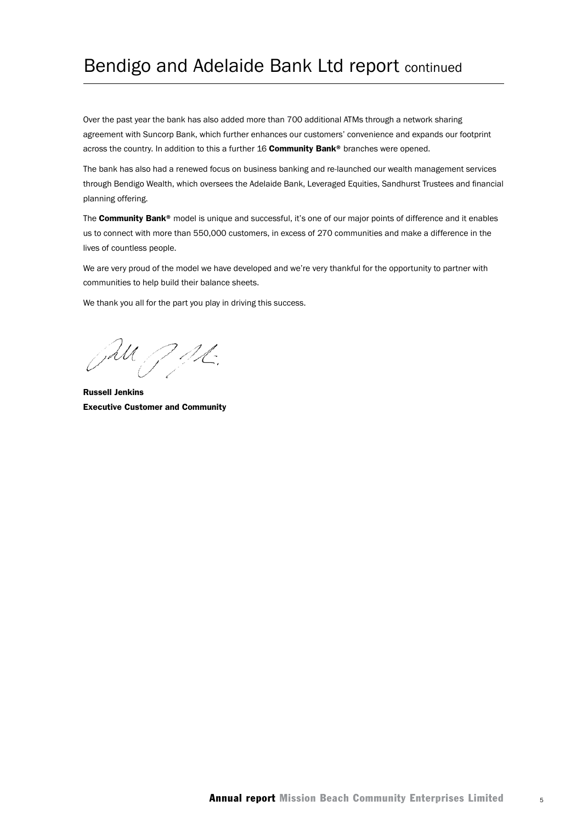## Bendigo and Adelaide Bank Ltd report continued

Over the past year the bank has also added more than 700 additional ATMs through a network sharing agreement with Suncorp Bank, which further enhances our customers' convenience and expands our footprint across the country. In addition to this a further 16 Community Bank® branches were opened.

The bank has also had a renewed focus on business banking and re-launched our wealth management services through Bendigo Wealth, which oversees the Adelaide Bank, Leveraged Equities, Sandhurst Trustees and financial planning offering.

The Community Bank® model is unique and successful, it's one of our major points of difference and it enables us to connect with more than 550,000 customers, in excess of 270 communities and make a difference in the lives of countless people.

We are very proud of the model we have developed and we're very thankful for the opportunity to partner with communities to help build their balance sheets.

We thank you all for the part you play in driving this success.

JU JAL.

Russell Jenkins Executive Customer and Community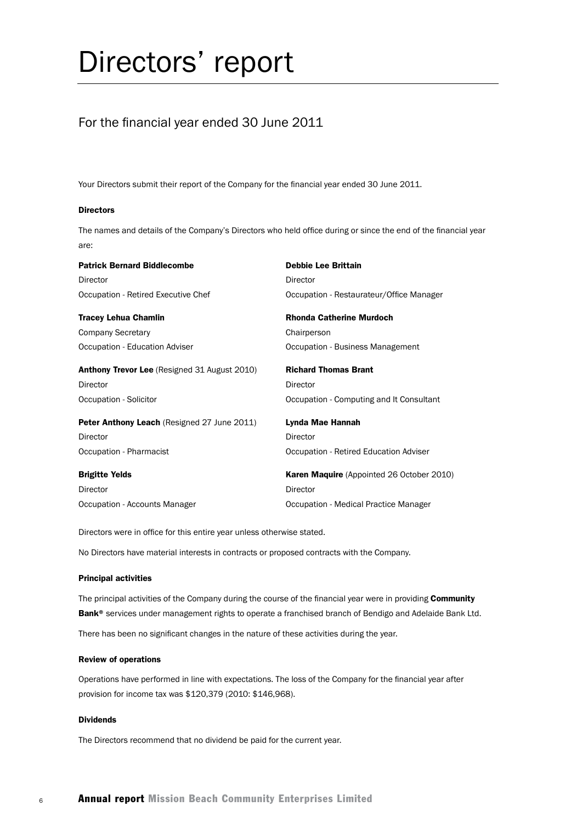# Directors' report

## For the financial year ended 30 June 2011

Your Directors submit their report of the Company for the financial year ended 30 June 2011.

#### **Directors**

The names and details of the Company's Directors who held office during or since the end of the financial year are:

| <b>Patrick Bernard Biddlecombe</b>                  | <b>Debbie Lee Brittain</b>                       |
|-----------------------------------------------------|--------------------------------------------------|
| Director                                            | Director                                         |
| Occupation - Retired Executive Chef                 | Occupation - Restaurateur/Office Manager         |
| <b>Tracey Lehua Chamlin</b>                         | <b>Rhonda Catherine Murdoch</b>                  |
| Company Secretary                                   | Chairperson                                      |
| Occupation - Education Adviser                      | Occupation - Business Management                 |
| <b>Anthony Trevor Lee</b> (Resigned 31 August 2010) | <b>Richard Thomas Brant</b>                      |
| <b>Director</b>                                     | Director                                         |
| Occupation - Solicitor                              | Occupation - Computing and It Consultant         |
| Peter Anthony Leach (Resigned 27 June 2011)         | Lynda Mae Hannah                                 |
| <b>Director</b>                                     | <b>Director</b>                                  |
| Occupation - Pharmacist                             | Occupation - Retired Education Adviser           |
| <b>Brigitte Yelds</b>                               | <b>Karen Maquire</b> (Appointed 26 October 2010) |
| Director                                            | <b>Director</b>                                  |
| Occupation - Accounts Manager                       | Occupation - Medical Practice Manager            |

Directors were in office for this entire year unless otherwise stated.

No Directors have material interests in contracts or proposed contracts with the Company.

#### Principal activities

The principal activities of the Company during the course of the financial year were in providing Community Bank<sup>®</sup> services under management rights to operate a franchised branch of Bendigo and Adelaide Bank Ltd.

There has been no significant changes in the nature of these activities during the year.

#### Review of operations

Operations have performed in line with expectations. The loss of the Company for the financial year after provision for income tax was \$120,379 (2010: \$146,968).

#### Dividends

The Directors recommend that no dividend be paid for the current year.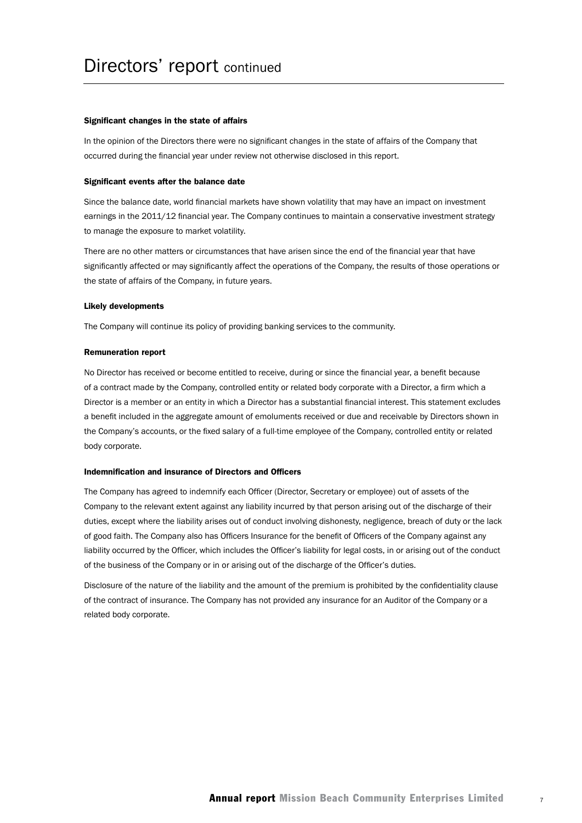#### Significant changes in the state of affairs

In the opinion of the Directors there were no significant changes in the state of affairs of the Company that occurred during the financial year under review not otherwise disclosed in this report.

#### Significant events after the balance date

Since the balance date, world financial markets have shown volatility that may have an impact on investment earnings in the 2011/12 financial year. The Company continues to maintain a conservative investment strategy to manage the exposure to market volatility.

There are no other matters or circumstances that have arisen since the end of the financial year that have significantly affected or may significantly affect the operations of the Company, the results of those operations or the state of affairs of the Company, in future years.

#### Likely developments

The Company will continue its policy of providing banking services to the community.

#### Remuneration report

No Director has received or become entitled to receive, during or since the financial year, a benefit because of a contract made by the Company, controlled entity or related body corporate with a Director, a firm which a Director is a member or an entity in which a Director has a substantial financial interest. This statement excludes a benefit included in the aggregate amount of emoluments received or due and receivable by Directors shown in the Company's accounts, or the fixed salary of a full-time employee of the Company, controlled entity or related body corporate.

#### Indemnification and insurance of Directors and Officers

The Company has agreed to indemnify each Officer (Director, Secretary or employee) out of assets of the Company to the relevant extent against any liability incurred by that person arising out of the discharge of their duties, except where the liability arises out of conduct involving dishonesty, negligence, breach of duty or the lack of good faith. The Company also has Officers Insurance for the benefit of Officers of the Company against any liability occurred by the Officer, which includes the Officer's liability for legal costs, in or arising out of the conduct of the business of the Company or in or arising out of the discharge of the Officer's duties.

Disclosure of the nature of the liability and the amount of the premium is prohibited by the confidentiality clause of the contract of insurance. The Company has not provided any insurance for an Auditor of the Company or a related body corporate.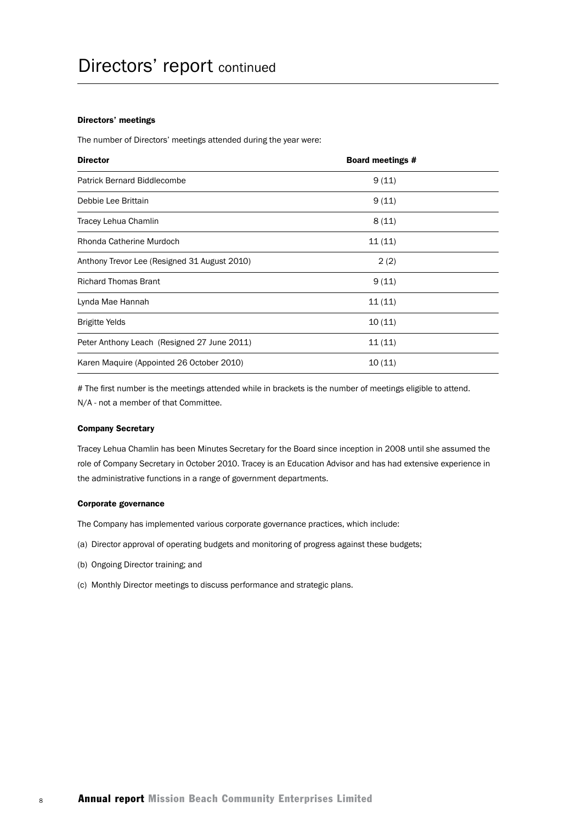#### Directors' meetings

The number of Directors' meetings attended during the year were:

| <b>Director</b>                              | <b>Board meetings #</b> |  |
|----------------------------------------------|-------------------------|--|
| <b>Patrick Bernard Biddlecombe</b>           | 9(11)                   |  |
| Debbie Lee Brittain                          | 9(11)                   |  |
| Tracey Lehua Chamlin                         | 8(11)                   |  |
| Rhonda Catherine Murdoch                     | 11(11)                  |  |
| Anthony Trevor Lee (Resigned 31 August 2010) | 2(2)                    |  |
| <b>Richard Thomas Brant</b>                  | 9(11)                   |  |
| Lynda Mae Hannah                             | 11(11)                  |  |
| <b>Brigitte Yelds</b>                        | 10(11)                  |  |
| Peter Anthony Leach (Resigned 27 June 2011)  | 11(11)                  |  |
| Karen Maquire (Appointed 26 October 2010)    | 10(11)                  |  |

# The first number is the meetings attended while in brackets is the number of meetings eligible to attend. N/A - not a member of that Committee.

#### Company Secretary

Tracey Lehua Chamlin has been Minutes Secretary for the Board since inception in 2008 until she assumed the role of Company Secretary in October 2010. Tracey is an Education Advisor and has had extensive experience in the administrative functions in a range of government departments.

#### Corporate governance

The Company has implemented various corporate governance practices, which include:

- (a) Director approval of operating budgets and monitoring of progress against these budgets;
- (b) Ongoing Director training; and
- (c) Monthly Director meetings to discuss performance and strategic plans.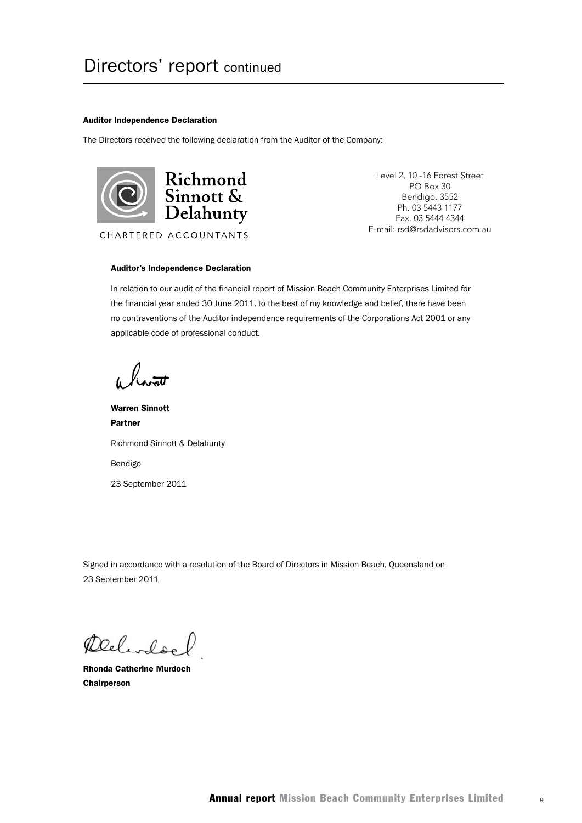#### Auditor Independence Declaration

The Directors received the following declaration from the Auditor of the Company:



Level 2, 10 -16 Forest Street PO Box 30 Bendigo. 3552 Ph. 03 5443 1177 Fax. 03 5444 4344 E-mail: rsd@rsdadvisors.com.au

#### Auditor's Independence Declaration

In relation to our audit of the financial report of Mission Beach Community Enterprises Limited for the financial year ended 30 June 2011, to the best of my knowledge and belief, there have been no contraventions of the Auditor independence requirements of the Corporations Act 2001 or any applicable code of professional conduct.

Warren Sinnott Partner Richmond Sinnott & Delahunty Bendigo 23 September 2011

Signed in accordance with a resolution of the Board of Directors in Mission Beach, Queensland on 23 September 2011

Delivele

Rhonda Catherine Murdoch Chairperson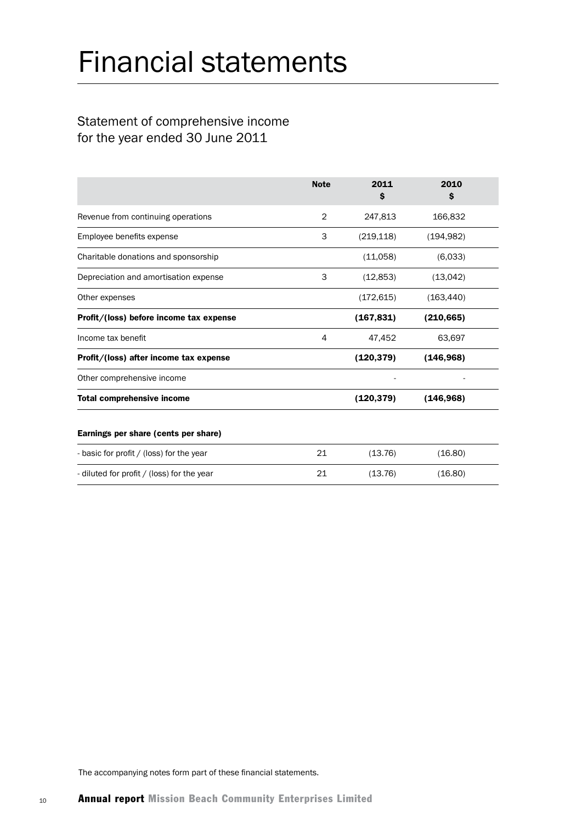# Financial statements

## Statement of comprehensive income for the year ended 30 June 2011

|                                            | <b>Note</b>    | 2011<br>s  | 2010<br>s  |  |
|--------------------------------------------|----------------|------------|------------|--|
| Revenue from continuing operations         | $\overline{2}$ | 247,813    | 166,832    |  |
| Employee benefits expense                  | 3              | (219, 118) | (194, 982) |  |
| Charitable donations and sponsorship       |                | (11,058)   | (6.033)    |  |
| Depreciation and amortisation expense      | 3              | (12, 853)  | (13,042)   |  |
| Other expenses                             |                | (172, 615) | (163, 440) |  |
| Profit/(loss) before income tax expense    |                | (167, 831) | (210, 665) |  |
| Income tax benefit                         | 4              | 47,452     | 63,697     |  |
| Profit/(loss) after income tax expense     |                | (120, 379) | (146, 968) |  |
| Other comprehensive income                 |                |            |            |  |
| <b>Total comprehensive income</b>          |                | (120, 379) | (146, 968) |  |
| Earnings per share (cents per share)       |                |            |            |  |
| - basic for profit / (loss) for the year   | 21             | (13.76)    | (16.80)    |  |
| - diluted for profit / (loss) for the year | 21             | (13.76)    | (16.80)    |  |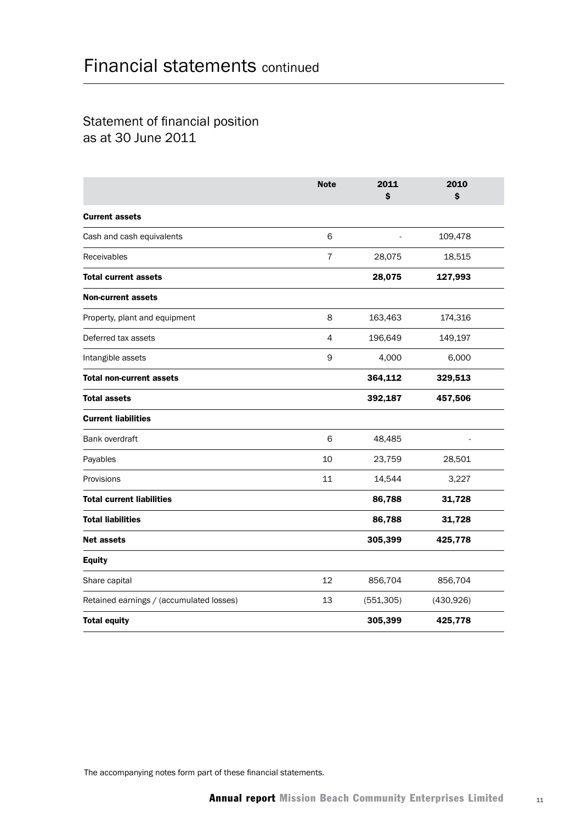## Statement of financial position as at 30 June 2011

|                                          | <b>Note</b>    | 2011<br>\$ | 2010<br>\$ |  |
|------------------------------------------|----------------|------------|------------|--|
| <b>Current assets</b>                    |                |            |            |  |
| Cash and cash equivalents                | 6              |            | 109,478    |  |
| Receivables                              | 7              | 28,075     | 18,515     |  |
| <b>Total current assets</b>              |                | 28,075     | 127,993    |  |
| <b>Non-current assets</b>                |                |            |            |  |
| Property, plant and equipment            | 8              | 163,463    | 174,316    |  |
| Deferred tax assets                      | $\overline{4}$ | 196,649    | 149,197    |  |
| Intangible assets                        | $\mathsf 9$    | 4,000      | 6,000      |  |
| <b>Total non-current assets</b>          |                | 364,112    | 329,513    |  |
| <b>Total assets</b>                      |                | 392,187    | 457,506    |  |
| <b>Current liabilities</b>               |                |            |            |  |
| Bank overdraft                           | 6              | 48,485     |            |  |
| Payables                                 | 10             | 23,759     | 28,501     |  |
| Provisions                               | 11             | 14,544     | 3,227      |  |
| <b>Total current liabilities</b>         |                | 86,788     | 31,728     |  |
| <b>Total liabilities</b>                 |                | 86,788     | 31,728     |  |
| <b>Net assets</b>                        |                | 305,399    | 425,778    |  |
| <b>Equity</b>                            |                |            |            |  |
| Share capital                            | 12             | 856,704    | 856,704    |  |
| Retained earnings / (accumulated losses) | 13             | (551, 305) | (430, 926) |  |
| <b>Total equity</b>                      |                | 305,399    | 425,778    |  |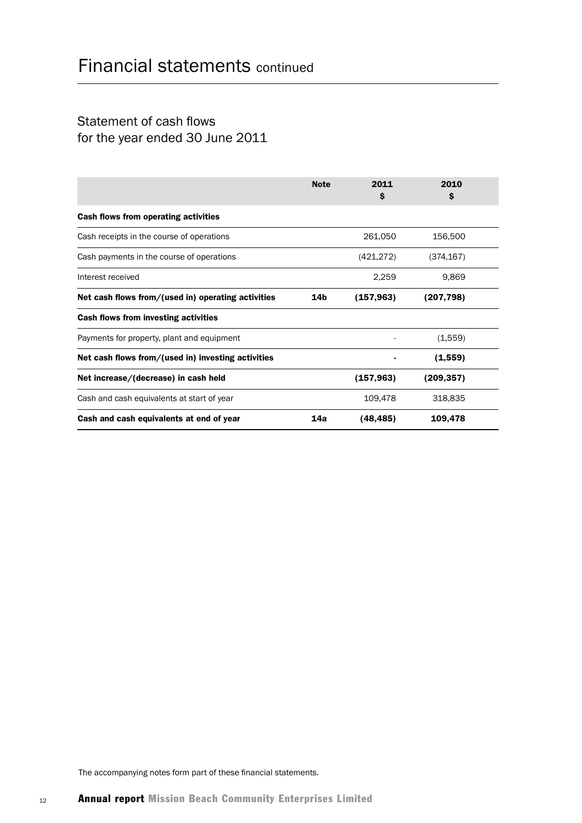## Statement of cash flows for the year ended 30 June 2011

|                                                    | <b>Note</b> | 2011<br>S  | 2010<br>\$ |  |
|----------------------------------------------------|-------------|------------|------------|--|
| Cash flows from operating activities               |             |            |            |  |
| Cash receipts in the course of operations          |             | 261,050    | 156,500    |  |
| Cash payments in the course of operations          |             | (421, 272) | (374, 167) |  |
| Interest received                                  |             | 2,259      | 9,869      |  |
| Net cash flows from/(used in) operating activities | 14b         | (157, 963) | (207, 798) |  |
| Cash flows from investing activities               |             |            |            |  |
| Payments for property, plant and equipment         |             |            | (1,559)    |  |
| Net cash flows from/(used in) investing activities |             |            | (1,559)    |  |
| Net increase/(decrease) in cash held               |             | (157,963)  | (209, 357) |  |
| Cash and cash equivalents at start of year         |             | 109,478    | 318,835    |  |
| Cash and cash equivalents at end of year           | 14a         | (48, 485)  | 109,478    |  |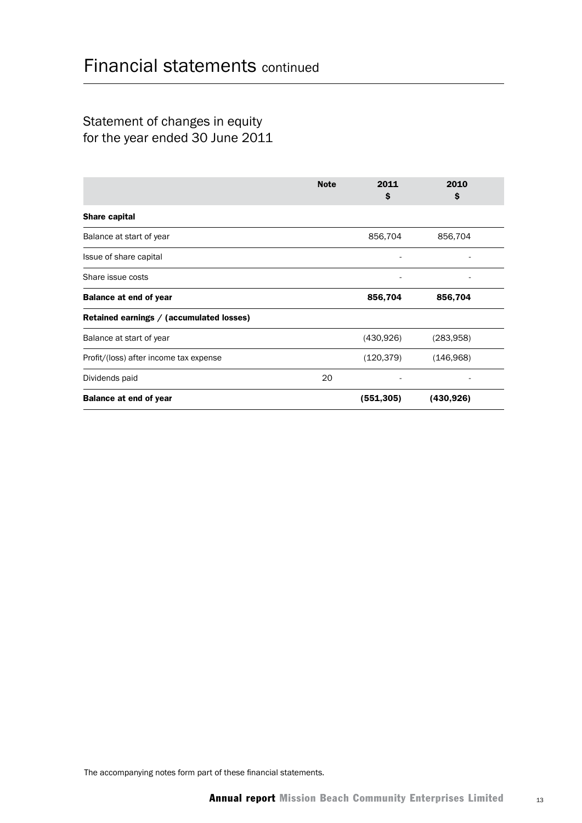## Statement of changes in equity for the year ended 30 June 2011

|                                          | <b>Note</b> | 2011<br>S  | 2010<br>\$ |  |
|------------------------------------------|-------------|------------|------------|--|
| Share capital                            |             |            |            |  |
| Balance at start of year                 |             | 856,704    | 856,704    |  |
| Issue of share capital                   |             |            |            |  |
| Share issue costs                        |             |            |            |  |
| <b>Balance at end of year</b>            |             | 856,704    | 856,704    |  |
| Retained earnings / (accumulated losses) |             |            |            |  |
| Balance at start of year                 |             | (430, 926) | (283,958)  |  |
| Profit/(loss) after income tax expense   |             | (120, 379) | (146,968)  |  |
| Dividends paid                           | 20          |            |            |  |
| <b>Balance at end of year</b>            |             | (551, 305) | (430, 926) |  |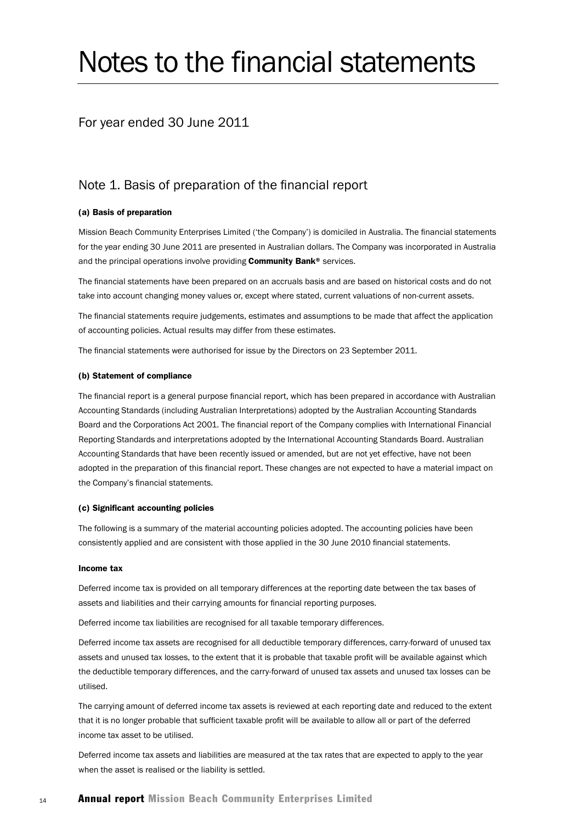# Notes to the financial statements

### For year ended 30 June 2011

### Note 1. Basis of preparation of the financial report

#### (a) Basis of preparation

Mission Beach Community Enterprises Limited ('the Company') is domiciled in Australia. The financial statements for the year ending 30 June 2011 are presented in Australian dollars. The Company was incorporated in Australia and the principal operations involve providing Community Bank® services.

The financial statements have been prepared on an accruals basis and are based on historical costs and do not take into account changing money values or, except where stated, current valuations of non-current assets.

The financial statements require judgements, estimates and assumptions to be made that affect the application of accounting policies. Actual results may differ from these estimates.

The financial statements were authorised for issue by the Directors on 23 September 2011.

#### (b) Statement of compliance

The financial report is a general purpose financial report, which has been prepared in accordance with Australian Accounting Standards (including Australian Interpretations) adopted by the Australian Accounting Standards Board and the Corporations Act 2001. The financial report of the Company complies with International Financial Reporting Standards and interpretations adopted by the International Accounting Standards Board. Australian Accounting Standards that have been recently issued or amended, but are not yet effective, have not been adopted in the preparation of this financial report. These changes are not expected to have a material impact on the Company's financial statements.

#### (c) Significant accounting policies

The following is a summary of the material accounting policies adopted. The accounting policies have been consistently applied and are consistent with those applied in the 30 June 2010 financial statements.

#### Income tax

Deferred income tax is provided on all temporary differences at the reporting date between the tax bases of assets and liabilities and their carrying amounts for financial reporting purposes.

Deferred income tax liabilities are recognised for all taxable temporary differences.

Deferred income tax assets are recognised for all deductible temporary differences, carry-forward of unused tax assets and unused tax losses, to the extent that it is probable that taxable profit will be available against which the deductible temporary differences, and the carry-forward of unused tax assets and unused tax losses can be utilised.

The carrying amount of deferred income tax assets is reviewed at each reporting date and reduced to the extent that it is no longer probable that sufficient taxable profit will be available to allow all or part of the deferred income tax asset to be utilised.

Deferred income tax assets and liabilities are measured at the tax rates that are expected to apply to the year when the asset is realised or the liability is settled.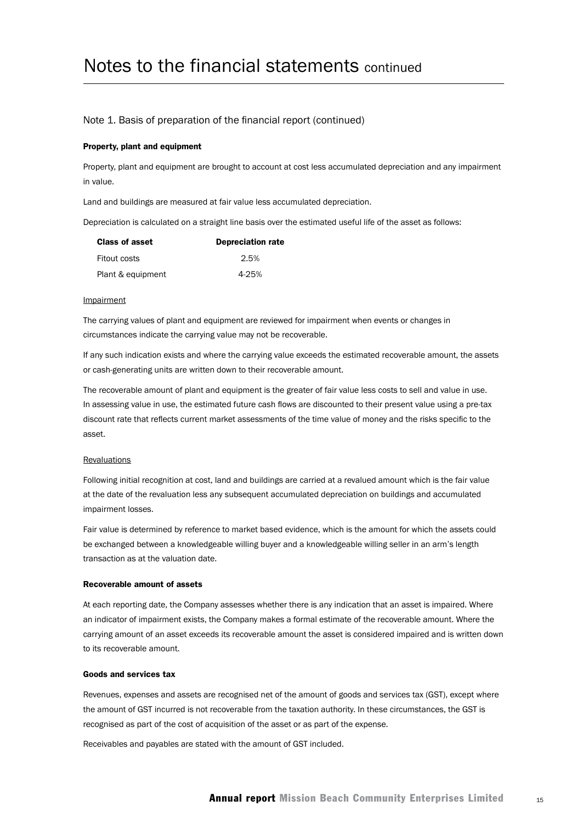#### Note 1. Basis of preparation of the financial report (continued)

#### Property, plant and equipment

Property, plant and equipment are brought to account at cost less accumulated depreciation and any impairment in value.

Land and buildings are measured at fair value less accumulated depreciation.

Depreciation is calculated on a straight line basis over the estimated useful life of the asset as follows:

| <b>Class of asset</b> | <b>Depreciation rate</b> |
|-----------------------|--------------------------|
| Fitout costs          | 2.5%                     |
| Plant & equipment     | 4-25%                    |

#### **Impairment**

The carrying values of plant and equipment are reviewed for impairment when events or changes in circumstances indicate the carrying value may not be recoverable.

If any such indication exists and where the carrying value exceeds the estimated recoverable amount, the assets or cash-generating units are written down to their recoverable amount.

The recoverable amount of plant and equipment is the greater of fair value less costs to sell and value in use. In assessing value in use, the estimated future cash flows are discounted to their present value using a pre-tax discount rate that reflects current market assessments of the time value of money and the risks specific to the asset.

#### **Revaluations**

Following initial recognition at cost, land and buildings are carried at a revalued amount which is the fair value at the date of the revaluation less any subsequent accumulated depreciation on buildings and accumulated impairment losses.

Fair value is determined by reference to market based evidence, which is the amount for which the assets could be exchanged between a knowledgeable willing buyer and a knowledgeable willing seller in an arm's length transaction as at the valuation date.

#### Recoverable amount of assets

At each reporting date, the Company assesses whether there is any indication that an asset is impaired. Where an indicator of impairment exists, the Company makes a formal estimate of the recoverable amount. Where the carrying amount of an asset exceeds its recoverable amount the asset is considered impaired and is written down to its recoverable amount.

#### Goods and services tax

Revenues, expenses and assets are recognised net of the amount of goods and services tax (GST), except where the amount of GST incurred is not recoverable from the taxation authority. In these circumstances, the GST is recognised as part of the cost of acquisition of the asset or as part of the expense.

Receivables and payables are stated with the amount of GST included.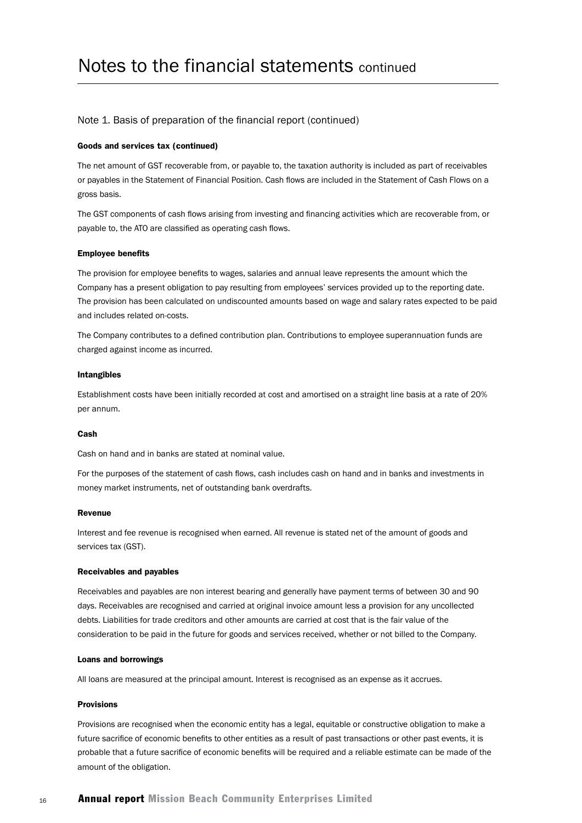#### Note 1. Basis of preparation of the financial report (continued)

#### Goods and services tax (continued)

The net amount of GST recoverable from, or payable to, the taxation authority is included as part of receivables or payables in the Statement of Financial Position. Cash flows are included in the Statement of Cash Flows on a gross basis.

The GST components of cash flows arising from investing and financing activities which are recoverable from, or payable to, the ATO are classified as operating cash flows.

#### Employee benefits

The provision for employee benefits to wages, salaries and annual leave represents the amount which the Company has a present obligation to pay resulting from employees' services provided up to the reporting date. The provision has been calculated on undiscounted amounts based on wage and salary rates expected to be paid and includes related on-costs.

The Company contributes to a defined contribution plan. Contributions to employee superannuation funds are charged against income as incurred.

#### Intangibles

Establishment costs have been initially recorded at cost and amortised on a straight line basis at a rate of 20% per annum.

#### Cash

Cash on hand and in banks are stated at nominal value.

For the purposes of the statement of cash flows, cash includes cash on hand and in banks and investments in money market instruments, net of outstanding bank overdrafts.

#### Revenue

Interest and fee revenue is recognised when earned. All revenue is stated net of the amount of goods and services tax (GST).

#### Receivables and payables

Receivables and payables are non interest bearing and generally have payment terms of between 30 and 90 days. Receivables are recognised and carried at original invoice amount less a provision for any uncollected debts. Liabilities for trade creditors and other amounts are carried at cost that is the fair value of the consideration to be paid in the future for goods and services received, whether or not billed to the Company.

#### Loans and borrowings

All loans are measured at the principal amount. Interest is recognised as an expense as it accrues.

#### Provisions

Provisions are recognised when the economic entity has a legal, equitable or constructive obligation to make a future sacrifice of economic benefits to other entities as a result of past transactions or other past events, it is probable that a future sacrifice of economic benefits will be required and a reliable estimate can be made of the amount of the obligation.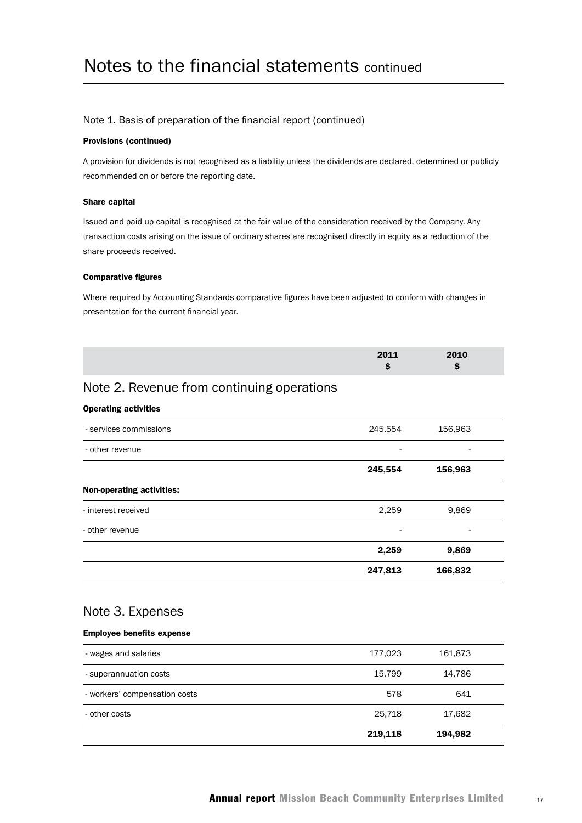#### Note 1. Basis of preparation of the financial report (continued)

#### Provisions (continued)

A provision for dividends is not recognised as a liability unless the dividends are declared, determined or publicly recommended on or before the reporting date.

#### Share capital

Issued and paid up capital is recognised at the fair value of the consideration received by the Company. Any transaction costs arising on the issue of ordinary shares are recognised directly in equity as a reduction of the share proceeds received.

#### Comparative figures

Where required by Accounting Standards comparative figures have been adjusted to conform with changes in presentation for the current financial year.

| 2011 | 2010 |  |
|------|------|--|
|      |      |  |

## Note 2. Revenue from continuing operations

#### Operating activities

| - services commissions           | 245,554                  | 156,963 |  |
|----------------------------------|--------------------------|---------|--|
| - other revenue                  | $\overline{\phantom{a}}$ | ٠       |  |
|                                  | 245,554                  | 156,963 |  |
| <b>Non-operating activities:</b> |                          |         |  |
| - interest received              | 2,259                    | 9,869   |  |
| - other revenue                  | $\overline{\phantom{a}}$ | ٠       |  |
|                                  | 2,259                    | 9,869   |  |
|                                  | 247,813                  | 166,832 |  |
|                                  |                          |         |  |

### Note 3. Expenses

#### Employee benefits expense

|                               | 219,118 | 194,982 |  |
|-------------------------------|---------|---------|--|
| - other costs                 | 25,718  | 17,682  |  |
| - workers' compensation costs | 578     | 641     |  |
| - superannuation costs        | 15,799  | 14,786  |  |
| - wages and salaries          | 177,023 | 161,873 |  |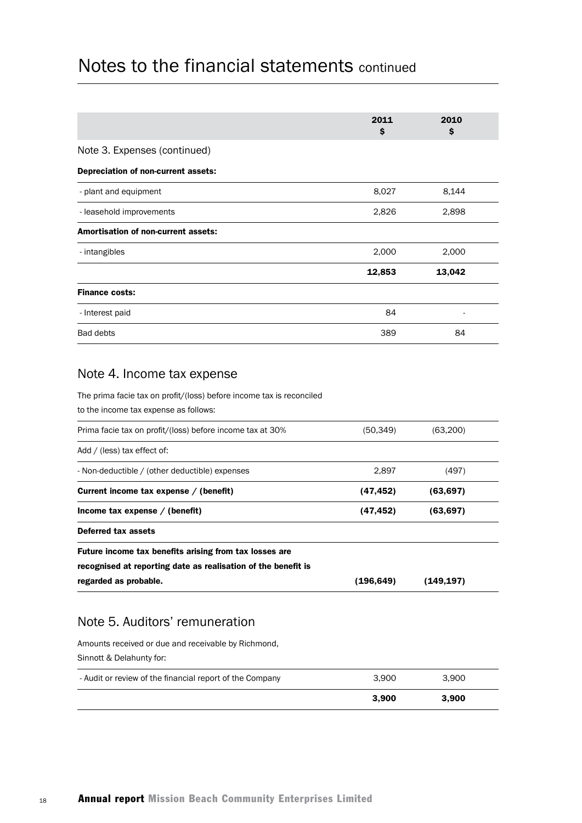|                                            | 2011<br>\$ | 2010<br>\$ |  |
|--------------------------------------------|------------|------------|--|
| Note 3. Expenses (continued)               |            |            |  |
| Depreciation of non-current assets:        |            |            |  |
| - plant and equipment                      | 8,027      | 8,144      |  |
| - leasehold improvements                   | 2,826      | 2,898      |  |
| <b>Amortisation of non-current assets:</b> |            |            |  |
| - intangibles                              | 2,000      | 2,000      |  |
|                                            | 12,853     | 13,042     |  |
| <b>Finance costs:</b>                      |            |            |  |
| - Interest paid                            | 84         |            |  |
| <b>Bad debts</b>                           | 389        | 84         |  |
|                                            |            |            |  |

## Note 4. Income tax expense

The prima facie tax on profit/(loss) before income tax is reconciled

to the income tax expense as follows:

| regarded as probable.                                         | (196,649) | (149,197) |  |  |  |
|---------------------------------------------------------------|-----------|-----------|--|--|--|
| recognised at reporting date as realisation of the benefit is |           |           |  |  |  |
| Future income tax benefits arising from tax losses are        |           |           |  |  |  |
| Deferred tax assets                                           |           |           |  |  |  |
| Income tax expense $/$ (benefit)                              | (47,452)  | (63, 697) |  |  |  |
| Current income tax expense / (benefit)                        | (47,452)  | (63, 697) |  |  |  |
| - Non-deductible / (other deductible) expenses                | 2,897     | (497)     |  |  |  |
| Add / (less) tax effect of:                                   |           |           |  |  |  |
| Prima facie tax on profit/(loss) before income tax at 30%     | (50, 349) | (63,200)  |  |  |  |
|                                                               |           |           |  |  |  |

## Note 5. Auditors' remuneration

Amounts received or due and receivable by Richmond, Sinnott & Delahunty for: - Audit or review of the financial report of the Company 3,900 3,900 3,900 3,900 3,900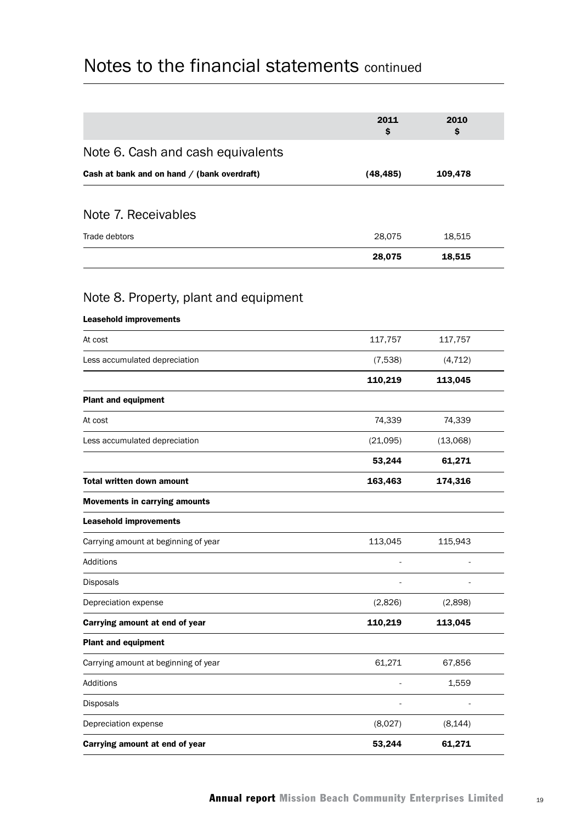|                                             | 2011<br>\$ | 2010<br>\$ |  |
|---------------------------------------------|------------|------------|--|
| Note 6. Cash and cash equivalents           |            |            |  |
| Cash at bank and on hand / (bank overdraft) | (48, 485)  | 109,478    |  |
|                                             |            |            |  |
| Note 7. Receivables                         |            |            |  |
| Trade debtors                               | 28,075     | 18,515     |  |
|                                             | 28,075     | 18,515     |  |
| Note 8. Property, plant and equipment       |            |            |  |
| <b>Leasehold improvements</b>               |            |            |  |
| At cost                                     | 117,757    | 117,757    |  |
| Less accumulated depreciation               | (7,538)    | (4, 712)   |  |
|                                             | 110,219    | 113,045    |  |
| <b>Plant and equipment</b>                  |            |            |  |
| At cost                                     | 74,339     | 74,339     |  |
| Less accumulated depreciation               | (21,095)   | (13,068)   |  |
|                                             | 53,244     | 61,271     |  |
| <b>Total written down amount</b>            | 163,463    | 174,316    |  |
| <b>Movements in carrying amounts</b>        |            |            |  |
| <b>Leasehold improvements</b>               |            |            |  |
| Carrying amount at beginning of year        | 113,045    | 115,943    |  |
| Additions                                   |            |            |  |
| Disposals                                   |            |            |  |
| Depreciation expense                        | (2,826)    | (2,898)    |  |
| Carrying amount at end of year              | 110,219    | 113,045    |  |
| <b>Plant and equipment</b>                  |            |            |  |
| Carrying amount at beginning of year        | 61,271     | 67,856     |  |
| Additions                                   |            | 1,559      |  |
| Disposals                                   |            |            |  |
| Depreciation expense                        | (8,027)    | (8, 144)   |  |
| Carrying amount at end of year              | 53,244     | 61,271     |  |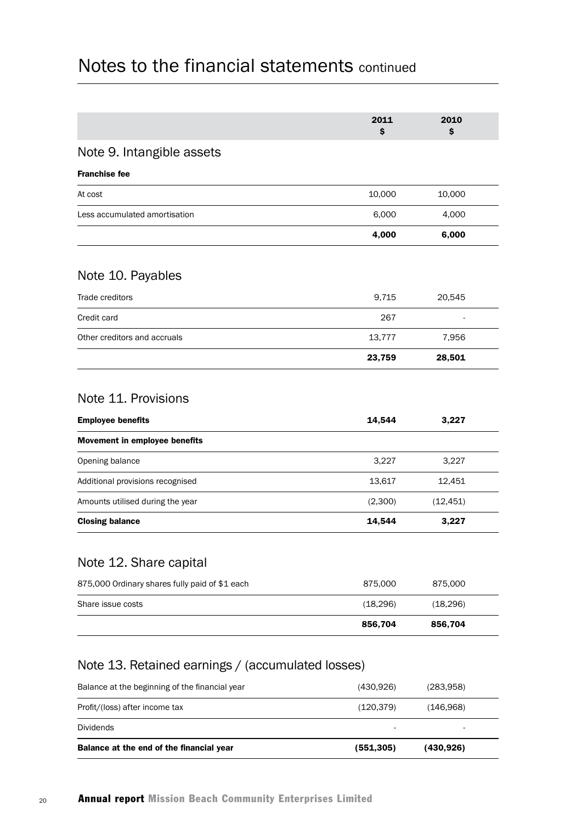|                                                                     | 2011<br>\$ | 2010<br>S |
|---------------------------------------------------------------------|------------|-----------|
| Note 9. Intangible assets                                           |            |           |
| <b>Franchise fee</b>                                                |            |           |
| At cost                                                             | 10,000     | 10,000    |
| Less accumulated amortisation                                       | 6,000      | 4,000     |
|                                                                     | 4,000      | 6,000     |
| Note 10. Payables                                                   |            |           |
| Trade creditors                                                     | 9,715      | 20,545    |
| Credit card                                                         | 267        |           |
| Other creditors and accruals                                        | 13,777     | 7,956     |
|                                                                     | 23,759     | 28,501    |
| Note 11. Provisions<br><b>Employee benefits</b>                     | 14,544     | 3,227     |
| Movement in employee benefits                                       |            |           |
| Opening balance                                                     | 3,227      | 3,227     |
| Additional provisions recognised                                    | 13,617     | 12,451    |
| Amounts utilised during the year                                    | (2,300)    | (12, 451) |
| <b>Closing balance</b>                                              | 14,544     | 3,227     |
|                                                                     |            |           |
| Note 12. Share capital                                              |            |           |
|                                                                     | 875,000    | 875,000   |
| 875,000 Ordinary shares fully paid of \$1 each<br>Share issue costs | (18, 296)  | (18, 296) |

| Balance at the end of the financial year       | (551,305) | (430,926) |  |
|------------------------------------------------|-----------|-----------|--|
| <b>Dividends</b>                               | ٠         |           |  |
| Profit/(loss) after income tax                 | (120.379) | (146,968) |  |
| Balance at the beginning of the financial year | (430.926) | (283.958) |  |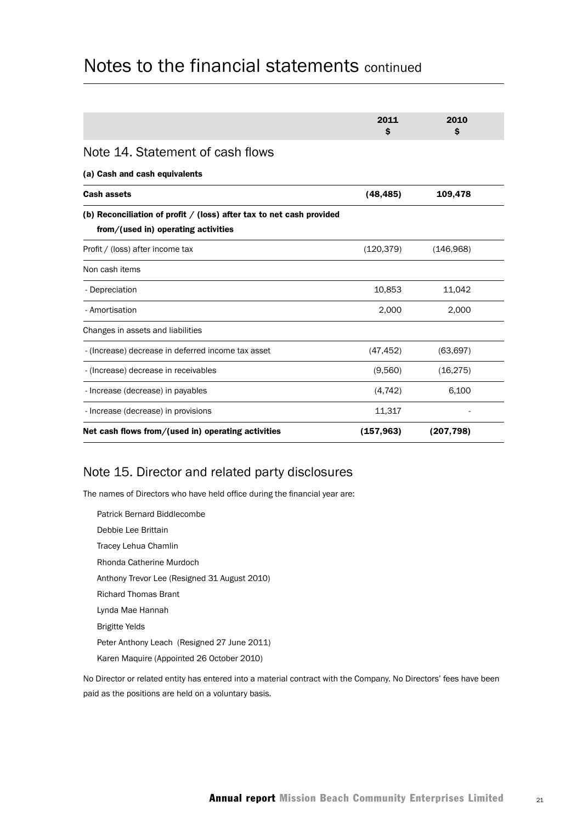|                                                                                                               | 2011<br>\$ | 2010<br>Ŝ  |  |
|---------------------------------------------------------------------------------------------------------------|------------|------------|--|
| Note 14. Statement of cash flows                                                                              |            |            |  |
| (a) Cash and cash equivalents                                                                                 |            |            |  |
| <b>Cash assets</b>                                                                                            | (48, 485)  | 109,478    |  |
| (b) Reconciliation of profit $/$ (loss) after tax to net cash provided<br>from/(used in) operating activities |            |            |  |
| Profit / (loss) after income tax                                                                              | (120.379)  | (146,968)  |  |
| Non cash items                                                                                                |            |            |  |
| - Depreciation                                                                                                | 10,853     | 11,042     |  |
| - Amortisation                                                                                                | 2,000      | 2,000      |  |
| Changes in assets and liabilities                                                                             |            |            |  |
| - (Increase) decrease in deferred income tax asset                                                            | (47, 452)  | (63, 697)  |  |
| - (Increase) decrease in receivables                                                                          | (9,560)    | (16, 275)  |  |
| - Increase (decrease) in payables                                                                             | (4, 742)   | 6,100      |  |
| - Increase (decrease) in provisions                                                                           | 11,317     |            |  |
| Net cash flows from/(used in) operating activities                                                            | (157, 963) | (207, 798) |  |

## Note 15. Director and related party disclosures

The names of Directors who have held office during the financial year are:

Patrick Bernard Biddlecombe Debbie Lee Brittain Tracey Lehua Chamlin Rhonda Catherine Murdoch Anthony Trevor Lee (Resigned 31 August 2010) Richard Thomas Brant Lynda Mae Hannah Brigitte Yelds Peter Anthony Leach (Resigned 27 June 2011) Karen Maquire (Appointed 26 October 2010)

No Director or related entity has entered into a material contract with the Company. No Directors' fees have been paid as the positions are held on a voluntary basis.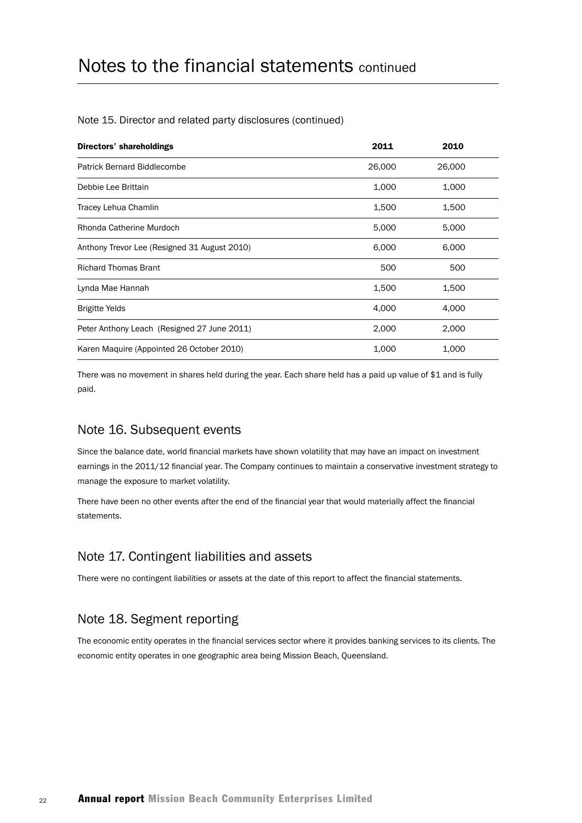#### Note 15. Director and related party disclosures (continued)

| Directors' shareholdings                     | 2011   | 2010   |
|----------------------------------------------|--------|--------|
| <b>Patrick Bernard Biddlecombe</b>           | 26,000 | 26,000 |
| Debbie Lee Brittain                          | 1,000  | 1,000  |
| Tracey Lehua Chamlin                         | 1,500  | 1,500  |
| Rhonda Catherine Murdoch                     | 5,000  | 5,000  |
| Anthony Trevor Lee (Resigned 31 August 2010) | 6,000  | 6,000  |
| <b>Richard Thomas Brant</b>                  | 500    | 500    |
| Lynda Mae Hannah                             | 1,500  | 1,500  |
| <b>Brigitte Yelds</b>                        | 4,000  | 4,000  |
| Peter Anthony Leach (Resigned 27 June 2011)  | 2,000  | 2,000  |
| Karen Maquire (Appointed 26 October 2010)    | 1,000  | 1,000  |

There was no movement in shares held during the year. Each share held has a paid up value of \$1 and is fully paid.

### Note 16. Subsequent events

Since the balance date, world financial markets have shown volatility that may have an impact on investment earnings in the 2011/12 financial year. The Company continues to maintain a conservative investment strategy to manage the exposure to market volatility.

There have been no other events after the end of the financial year that would materially affect the financial statements.

### Note 17. Contingent liabilities and assets

There were no contingent liabilities or assets at the date of this report to affect the financial statements.

## Note 18. Segment reporting

The economic entity operates in the financial services sector where it provides banking services to its clients. The economic entity operates in one geographic area being Mission Beach, Queensland.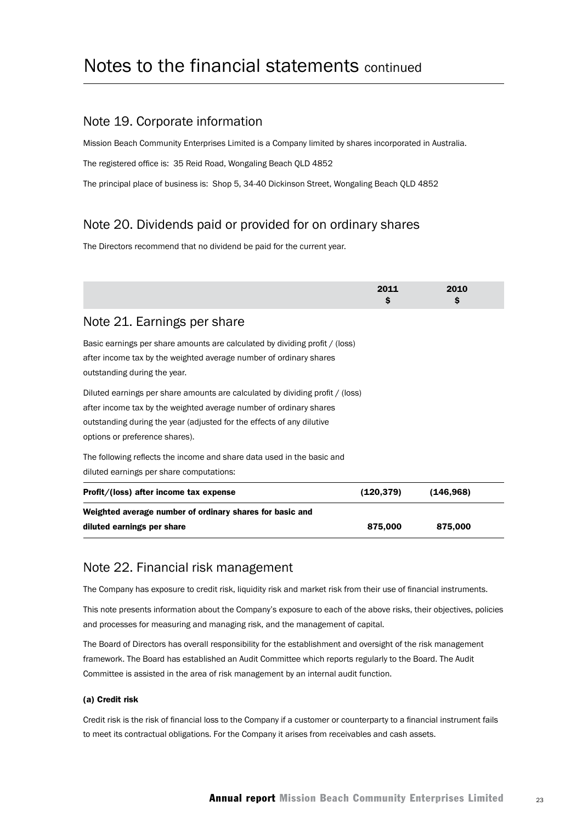### Note 19. Corporate information

Mission Beach Community Enterprises Limited is a Company limited by shares incorporated in Australia.

The registered office is: 35 Reid Road, Wongaling Beach QLD 4852

The principal place of business is: Shop 5, 34-40 Dickinson Street, Wongaling Beach QLD 4852

## Note 20. Dividends paid or provided for on ordinary shares

The Directors recommend that no dividend be paid for the current year.

|                                                                                                                                                                                                                                                                | 2011<br>\$. | 2010<br>\$ |
|----------------------------------------------------------------------------------------------------------------------------------------------------------------------------------------------------------------------------------------------------------------|-------------|------------|
| Note 21. Earnings per share                                                                                                                                                                                                                                    |             |            |
| Basic earnings per share amounts are calculated by dividing profit / (loss)<br>after income tax by the weighted average number of ordinary shares<br>outstanding during the year.                                                                              |             |            |
| Diluted earnings per share amounts are calculated by dividing profit / (loss)<br>after income tax by the weighted average number of ordinary shares<br>outstanding during the year (adjusted for the effects of any dilutive<br>options or preference shares). |             |            |
| The following reflects the income and share data used in the basic and<br>diluted earnings per share computations:                                                                                                                                             |             |            |
| Profit/(loss) after income tax expense                                                                                                                                                                                                                         | (120, 379)  | (146, 968) |
| Weighted average number of ordinary shares for basic and                                                                                                                                                                                                       |             |            |
| diluted earnings per share                                                                                                                                                                                                                                     | 875,000     | 875,000    |

### Note 22. Financial risk management

The Company has exposure to credit risk, liquidity risk and market risk from their use of financial instruments.

This note presents information about the Company's exposure to each of the above risks, their objectives, policies and processes for measuring and managing risk, and the management of capital.

The Board of Directors has overall responsibility for the establishment and oversight of the risk management framework. The Board has established an Audit Committee which reports regularly to the Board. The Audit Committee is assisted in the area of risk management by an internal audit function.

#### (a) Credit risk

Credit risk is the risk of financial loss to the Company if a customer or counterparty to a financial instrument fails to meet its contractual obligations. For the Company it arises from receivables and cash assets.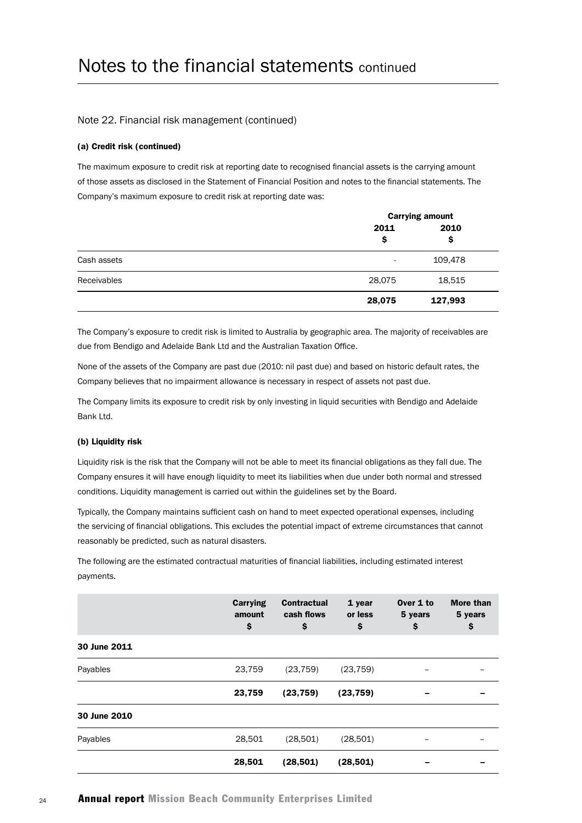#### Note 22. Financial risk management (continued)

#### (a) Credit risk (continued)

The maximum exposure to credit risk at reporting date to recognised financial assets is the carrying amount of those assets as disclosed in the Statement of Financial Position and notes to the financial statements. The Company's maximum exposure to credit risk at reporting date was:

|             | <b>Carrying amount</b> |            |  |
|-------------|------------------------|------------|--|
|             | 2011<br>\$             | 2010<br>\$ |  |
| Cash assets | ٠                      | 109,478    |  |
| Receivables | 28,075                 | 18,515     |  |
|             | 28,075                 | 127,993    |  |

The Company's exposure to credit risk is limited to Australia by geographic area. The majority of receivables are due from Bendigo and Adelaide Bank Ltd and the Australian Taxation Office.

None of the assets of the Company are past due (2010: nil past due) and based on historic default rates, the Company believes that no impairment allowance is necessary in respect of assets not past due.

The Company limits its exposure to credit risk by only investing in liquid securities with Bendigo and Adelaide Bank Ltd.

#### (b) Liquidity risk

Liquidity risk is the risk that the Company will not be able to meet its financial obligations as they fall due. The Company ensures it will have enough liquidity to meet its liabilities when due under both normal and stressed conditions. Liquidity management is carried out within the guidelines set by the Board.

Typically, the Company maintains sufficient cash on hand to meet expected operational expenses, including the servicing of financial obligations. This excludes the potential impact of extreme circumstances that cannot reasonably be predicted, such as natural disasters.

The following are the estimated contractual maturities of financial liabilities, including estimated interest payments.

|              | Carrying<br>amount<br>\$ | <b>Contractual</b><br>cash flows<br>\$ | 1 year<br>or less<br>\$ | Over 1 to<br>5 years<br>\$ | <b>More than</b><br>5 years<br>\$ |
|--------------|--------------------------|----------------------------------------|-------------------------|----------------------------|-----------------------------------|
| 30 June 2011 |                          |                                        |                         |                            |                                   |
| Payables     | 23,759                   | (23, 759)                              | (23, 759)               |                            |                                   |
|              | 23,759                   | (23, 759)                              | (23, 759)               | -                          |                                   |
| 30 June 2010 |                          |                                        |                         |                            |                                   |
| Payables     | 28,501                   | (28,501)                               | (28,501)                |                            |                                   |
|              | 28,501                   | (28, 501)                              | (28, 501)               |                            |                                   |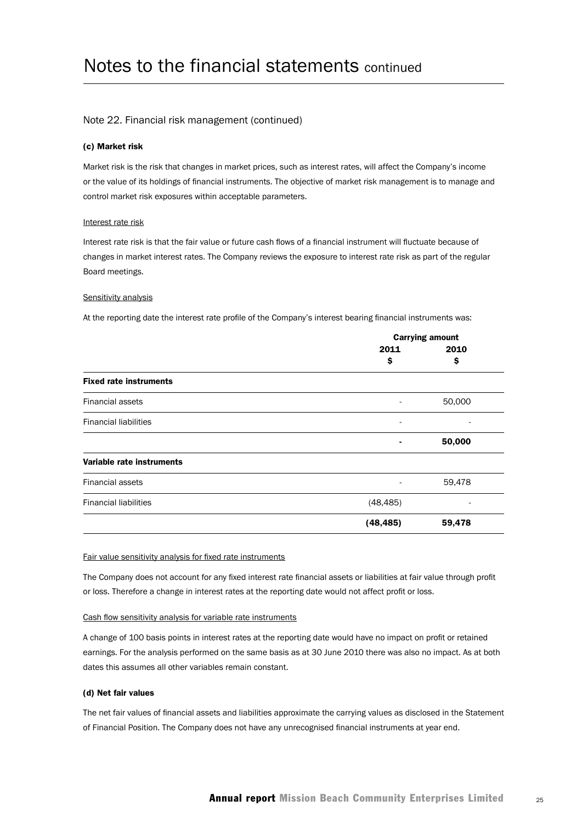#### Note 22. Financial risk management (continued)

#### (c) Market risk

Market risk is the risk that changes in market prices, such as interest rates, will affect the Company's income or the value of its holdings of financial instruments. The objective of market risk management is to manage and control market risk exposures within acceptable parameters.

#### Interest rate risk

Interest rate risk is that the fair value or future cash flows of a financial instrument will fluctuate because of changes in market interest rates. The Company reviews the exposure to interest rate risk as part of the regular Board meetings.

#### Sensitivity analysis

At the reporting date the interest rate profile of the Company's interest bearing financial instruments was:

|                               | <b>Carrying amount</b>   |        |  |
|-------------------------------|--------------------------|--------|--|
|                               | 2011                     | 2010   |  |
|                               | \$                       | \$     |  |
| <b>Fixed rate instruments</b> |                          |        |  |
| <b>Financial assets</b>       |                          | 50,000 |  |
| <b>Financial liabilities</b>  | $\overline{\phantom{a}}$ |        |  |
|                               | ٠                        | 50,000 |  |
| Variable rate instruments     |                          |        |  |
| <b>Financial assets</b>       |                          | 59,478 |  |
| <b>Financial liabilities</b>  | (48, 485)                |        |  |
|                               | (48, 485)                | 59,478 |  |

#### Fair value sensitivity analysis for fixed rate instruments

The Company does not account for any fixed interest rate financial assets or liabilities at fair value through profit or loss. Therefore a change in interest rates at the reporting date would not affect profit or loss.

#### Cash flow sensitivity analysis for variable rate instruments

A change of 100 basis points in interest rates at the reporting date would have no impact on profit or retained earnings. For the analysis performed on the same basis as at 30 June 2010 there was also no impact. As at both dates this assumes all other variables remain constant.

#### (d) Net fair values

The net fair values of financial assets and liabilities approximate the carrying values as disclosed in the Statement of Financial Position. The Company does not have any unrecognised financial instruments at year end.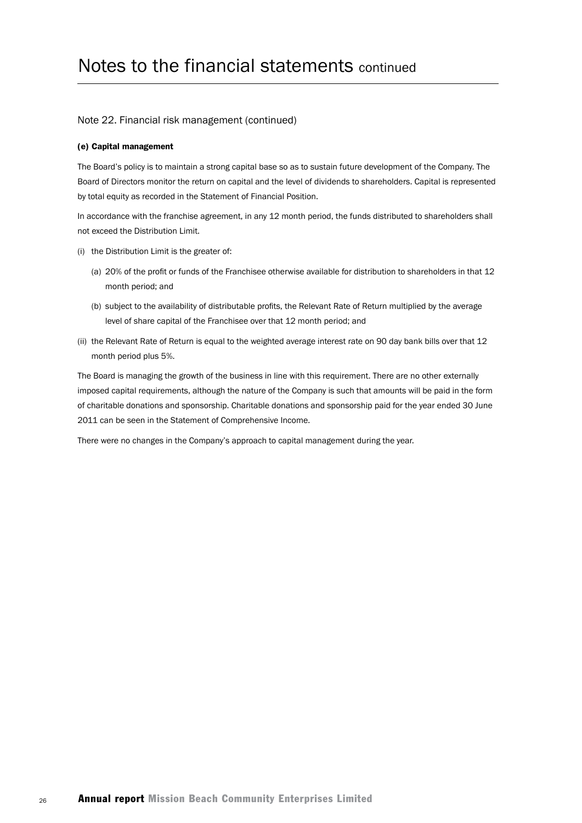#### Note 22. Financial risk management (continued)

#### (e) Capital management

The Board's policy is to maintain a strong capital base so as to sustain future development of the Company. The Board of Directors monitor the return on capital and the level of dividends to shareholders. Capital is represented by total equity as recorded in the Statement of Financial Position.

In accordance with the franchise agreement, in any 12 month period, the funds distributed to shareholders shall not exceed the Distribution Limit.

- (i) the Distribution Limit is the greater of:
	- (a) 20% of the profit or funds of the Franchisee otherwise available for distribution to shareholders in that 12 month period; and
	- (b) subject to the availability of distributable profits, the Relevant Rate of Return multiplied by the average level of share capital of the Franchisee over that 12 month period; and
- (ii) the Relevant Rate of Return is equal to the weighted average interest rate on 90 day bank bills over that 12 month period plus 5%.

The Board is managing the growth of the business in line with this requirement. There are no other externally imposed capital requirements, although the nature of the Company is such that amounts will be paid in the form of charitable donations and sponsorship. Charitable donations and sponsorship paid for the year ended 30 June 2011 can be seen in the Statement of Comprehensive Income.

There were no changes in the Company's approach to capital management during the year.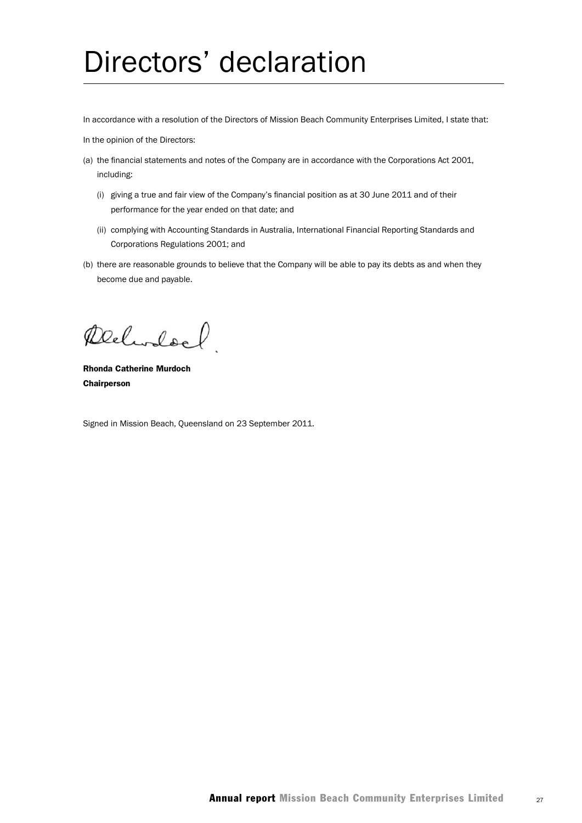# Directors' declaration

In accordance with a resolution of the Directors of Mission Beach Community Enterprises Limited, I state that:

In the opinion of the Directors:

- (a) the financial statements and notes of the Company are in accordance with the Corporations Act 2001, including:
	- (i) giving a true and fair view of the Company's financial position as at 30 June 2011 and of their performance for the year ended on that date; and
	- (ii) complying with Accounting Standards in Australia, International Financial Reporting Standards and Corporations Regulations 2001; and
- (b) there are reasonable grounds to believe that the Company will be able to pay its debts as and when they become due and payable.

Delinford

Rhonda Catherine Murdoch Chairperson

Signed in Mission Beach, Queensland on 23 September 2011.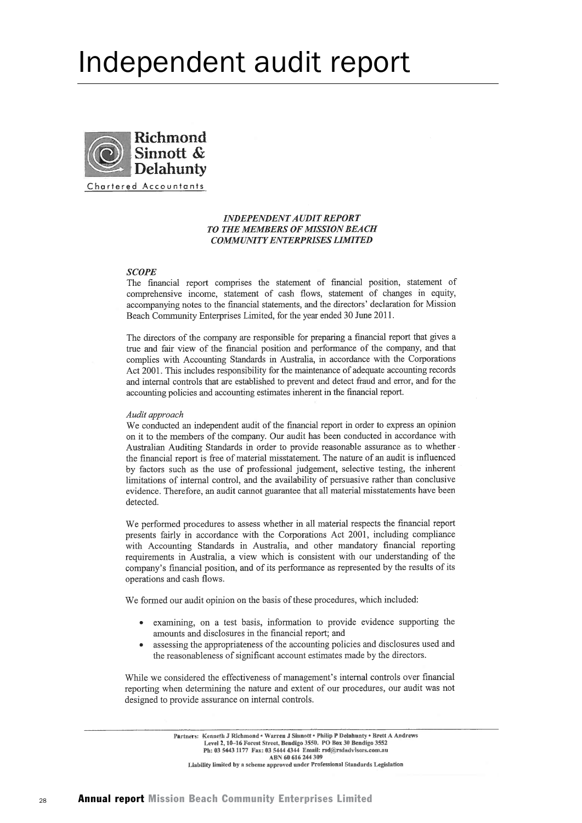# Independent audit report



#### **INDEPENDENT AUDIT REPORT TO THE MEMBERS OF MISSION BEACH COMMUNITY ENTERPRISES LIMITED**

#### **SCOPE**

The financial report comprises the statement of financial position, statement of comprehensive income, statement of cash flows, statement of changes in equity, accompanying notes to the financial statements, and the directors' declaration for Mission Beach Community Enterprises Limited, for the year ended 30 June 2011.

The directors of the company are responsible for preparing a financial report that gives a true and fair view of the financial position and performance of the company, and that complies with Accounting Standards in Australia, in accordance with the Corporations Act 2001. This includes responsibility for the maintenance of adequate accounting records and internal controls that are established to prevent and detect fraud and error, and for the accounting policies and accounting estimates inherent in the financial report.

#### Audit approach

We conducted an independent audit of the financial report in order to express an opinion on it to the members of the company. Our audit has been conducted in accordance with Australian Auditing Standards in order to provide reasonable assurance as to whether the financial report is free of material misstatement. The nature of an audit is influenced by factors such as the use of professional judgement, selective testing, the inherent limitations of internal control, and the availability of persuasive rather than conclusive evidence. Therefore, an audit cannot guarantee that all material misstatements have been detected.

We performed procedures to assess whether in all material respects the financial report presents fairly in accordance with the Corporations Act 2001, including compliance with Accounting Standards in Australia, and other mandatory financial reporting requirements in Australia, a view which is consistent with our understanding of the company's financial position, and of its performance as represented by the results of its operations and cash flows.

We formed our audit opinion on the basis of these procedures, which included:

- examining, on a test basis, information to provide evidence supporting the amounts and disclosures in the financial report; and
- assessing the appropriateness of the accounting policies and disclosures used and the reasonableness of significant account estimates made by the directors.

While we considered the effectiveness of management's internal controls over financial reporting when determining the nature and extent of our procedures, our audit was not designed to provide assurance on internal controls.

Partners: Kenneth J Richmond . Warren J Sinnott . Philip P Delahunty . Brett A Andrews Level 2, 10-16 Forest Street, Bendigo 3550. PO Box 30 Bendigo 3552 Ph: 03 5443 1177 Fax: 03 5444 4344 Email: rsd@rsdadvisors.com.au ABN 60 616 244 309 Liability limited by a scheme approved under Professional Standards Legislation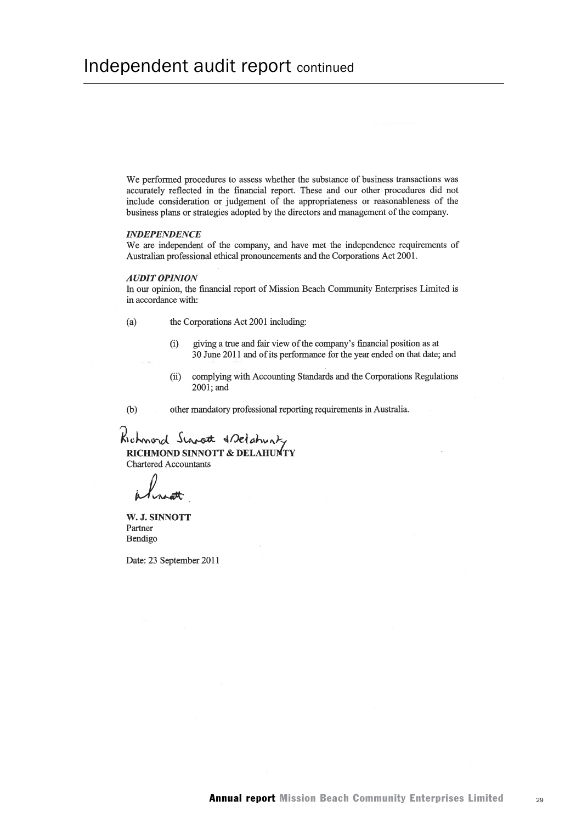We performed procedures to assess whether the substance of business transactions was accurately reflected in the financial report. These and our other procedures did not include consideration or judgement of the appropriateness or reasonableness of the business plans or strategies adopted by the directors and management of the company.

#### **INDEPENDENCE**

We are independent of the company, and have met the independence requirements of Australian professional ethical pronouncements and the Corporations Act 2001.

#### **AUDIT OPINION**

In our opinion, the financial report of Mission Beach Community Enterprises Limited is in accordance with:

the Corporations Act 2001 including:  $(a)$ 

- giving a true and fair view of the company's financial position as at  $(i)$ 30 June 2011 and of its performance for the year ended on that date; and
- complying with Accounting Standards and the Corporations Regulations  $(ii)$ 2001: and

 $(b)$ other mandatory professional reporting requirements in Australia.

Richmord Sinot & selationly RICHMOND SINNOTT & DELAHUMTY **Chartered Accountants** 

W. J. SINNOTT Partner Bendigo

Date: 23 September 2011